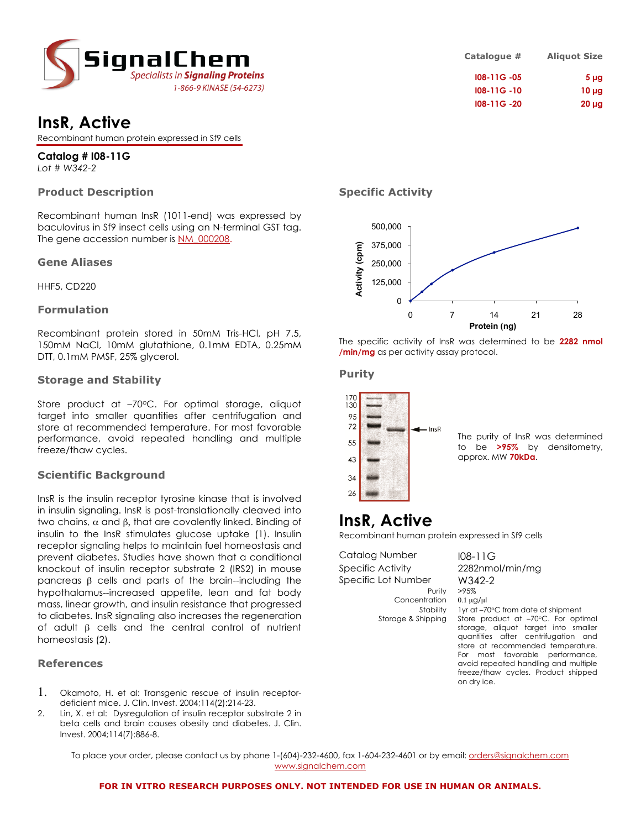

# **InsR, Active**

Recombinant human protein expressed in Sf9 cells

**Catalog # I08-11G** *Lot # W342-2*

# **Product Description**

Recombinant human InsR (1011-end) was expressed by baculovirus in Sf9 insect cells using an N-terminal GST tag. The gene accession number is NM\_000208.

### **Gene Aliases**

HHF5, CD220

### **Formulation**

Recombinant protein stored in 50mM Tris-HCl, pH 7.5, 150mM NaCl, 10mM glutathione, 0.1mM EDTA, 0.25mM DTT, 0.1mM PMSF, 25% glycerol.

### **Storage and Stability**

Store product at -70°C. For optimal storage, aliquot target into smaller quantities after centrifugation and store at recommended temperature. For most favorable performance, avoid repeated handling and multiple freeze/thaw cycles.

## **Scientific Background**

InsR is the insulin receptor tyrosine kinase that is involved in insulin signaling. InsR is post-translationally cleaved into two chains, α and β, that are covalently linked. Binding of insulin to the InsR stimulates glucose uptake (1). Insulin receptor signaling helps to maintain fuel homeostasis and prevent diabetes. Studies have shown that a conditional knockout of insulin receptor substrate 2 (IRS2) in mouse pancreas β cells and parts of the brain--including the hypothalamus--increased appetite, lean and fat body mass, linear growth, and insulin resistance that progressed to diabetes. InsR signaling also increases the regeneration of adult β cells and the central control of nutrient homeostasis (2).

### **References**

- 1. Okamoto, H. et al: Transgenic rescue of insulin receptordeficient mice. J. Clin. Invest. 2004;114(2):214-23.
- 2. Lin, X. et al: Dysregulation of insulin receptor substrate 2 in beta cells and brain causes obesity and diabetes. J. Clin. Invest. 2004;114(7):886-8.

# **Catalogue # Aliquot Size I08-11G -05 5 µg I08-11G -10 10 µg I08-11G -20 20 µg**

## **Specific Activity**



The specific activity of InsR was determined to be **2282 nmol /min/mg** as per activity assay protocol.

### **Purity**



The purity of InsR was determined to be **>95%** by densitometry, approx. MW **70kDa**.

# **InsR, Active**

Recombinant human protein expressed in Sf9 cells

Catalog Number 108-11G Specific Activity 2282nmol/min/mg Specific Lot Number W342-2

Concentration 0.1 µg/µl

Purity >95% Stability 1yr at –70°C from date of shipment Storage & Shipping Store product at -70°C. For optimal storage, aliquot target into smaller quantities after centrifugation and store at recommended temperature. For most favorable performance,

on dry ice.

avoid repeated handling and multiple freeze/thaw cycles. Product shipped

To place your order, please contact us by phone 1-(604)-232-4600, fax 1-604-232-4601 or by email: orders@signalchem.com www.signalchem.com